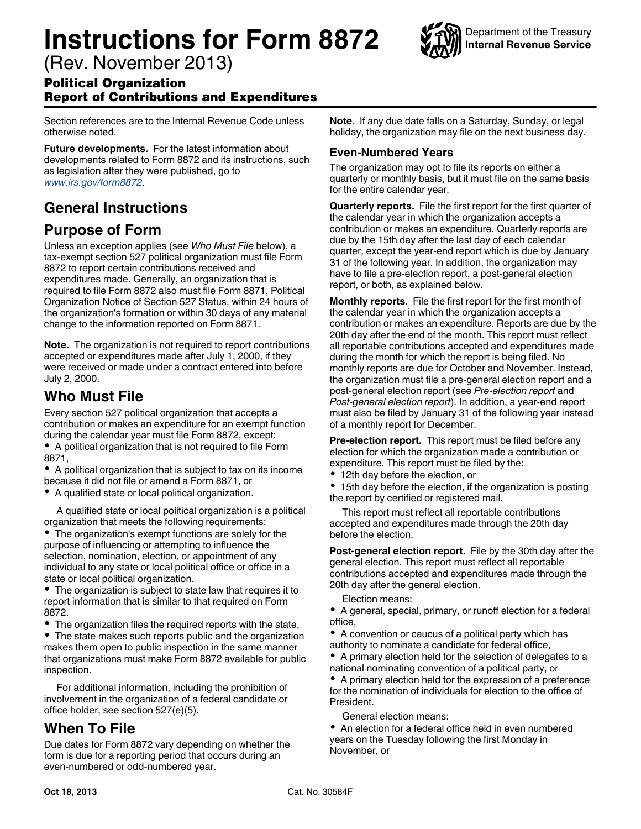# **Instructions for Form 8872**

Department of the Treasury **Internal Revenue Service**

(Rev. November 2013)

#### Political Organization Report of Contributions and Expenditures

Section references are to the Internal Revenue Code unless otherwise noted.

**Future developments.** For the latest information about developments related to Form 8872 and its instructions, such as legislation after they were published, go to *[www.irs.gov/form8872](http://www.irs.gov/form8872)*.

## **General Instructions**

#### **Purpose of Form**

Unless an exception applies (see *Who Must File* below), a tax-exempt section 527 political organization must file Form 8872 to report certain contributions received and expenditures made. Generally, an organization that is required to file Form 8872 also must file Form 8871, Political Organization Notice of Section 527 Status, within 24 hours of the organization's formation or within 30 days of any material change to the information reported on Form 8871.

**Note.** The organization is not required to report contributions accepted or expenditures made after July 1, 2000, if they were received or made under a contract entered into before July 2, 2000.

#### **Who Must File**

Every section 527 political organization that accepts a contribution or makes an expenditure for an exempt function during the calendar year must file Form 8872, except:

A political organization that is not required to file Form 8871,

- A political organization that is subject to tax on its income because it did not file or amend a Form 8871, or
- A qualified state or local political organization.

A qualified state or local political organization is a political organization that meets the following requirements:

The organization's exempt functions are solely for the purpose of influencing or attempting to influence the selection, nomination, election, or appointment of any individual to any state or local political office or office in a state or local political organization.

The organization is subject to state law that requires it to report information that is similar to that required on Form 8872.

The organization files the required reports with the state.

The state makes such reports public and the organization makes them open to public inspection in the same manner that organizations must make Form 8872 available for public inspection.

For additional information, including the prohibition of involvement in the organization of a federal candidate or office holder, see section 527(e)(5).

#### **When To File**

Due dates for Form 8872 vary depending on whether the form is due for a reporting period that occurs during an even-numbered or odd-numbered year.

**Note.** If any due date falls on a Saturday, Sunday, or legal holiday, the organization may file on the next business day.

#### **Even-Numbered Years**

The organization may opt to file its reports on either a quarterly or monthly basis, but it must file on the same basis for the entire calendar year.

**Quarterly reports.** File the first report for the first quarter of the calendar year in which the organization accepts a contribution or makes an expenditure. Quarterly reports are due by the 15th day after the last day of each calendar quarter, except the year-end report which is due by January 31 of the following year. In addition, the organization may have to file a pre-election report, a post-general election report, or both, as explained below.

**Monthly reports.** File the first report for the first month of the calendar year in which the organization accepts a contribution or makes an expenditure. Reports are due by the 20th day after the end of the month. This report must reflect all reportable contributions accepted and expenditures made during the month for which the report is being filed. No monthly reports are due for October and November. Instead, the organization must file a pre-general election report and a post-general election report (see *Pre-election report* and *Post-general election report*). In addition, a year-end report must also be filed by January 31 of the following year instead of a monthly report for December.

**Pre-election report.** This report must be filed before any election for which the organization made a contribution or expenditure. This report must be filed by the:

12th day before the election, or

15th day before the election, if the organization is posting the report by certified or registered mail.

This report must reflect all reportable contributions accepted and expenditures made through the 20th day before the election.

**Post-general election report.** File by the 30th day after the general election. This report must reflect all reportable contributions accepted and expenditures made through the 20th day after the general election.

Election means:

A general, special, primary, or runoff election for a federal office,

A convention or caucus of a political party which has authority to nominate a candidate for federal office,

A primary election held for the selection of delegates to a national nominating convention of a political party, or

A primary election held for the expression of a preference for the nomination of individuals for election to the office of **President** 

General election means:

An election for a federal office held in even numbered years on the Tuesday following the first Monday in November, or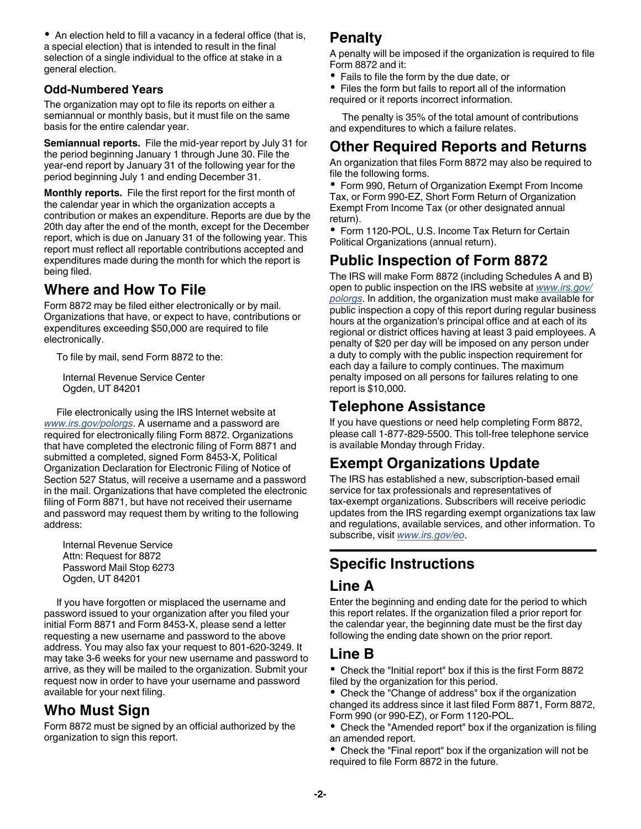• An election held to fill a vacancy in a federal office (that is, a special election) that is intended to result in the final selection of a single individual to the office at stake in a general election.

#### **Odd-Numbered Years**

The organization may opt to file its reports on either a semiannual or monthly basis, but it must file on the same basis for the entire calendar year.

**Semiannual reports.** File the mid-year report by July 31 for the period beginning January 1 through June 30. File the year-end report by January 31 of the following year for the period beginning July 1 and ending December 31.

**Monthly reports.** File the first report for the first month of the calendar year in which the organization accepts a contribution or makes an expenditure. Reports are due by the 20th day after the end of the month, except for the December report, which is due on January 31 of the following year. This report must reflect all reportable contributions accepted and expenditures made during the month for which the report is being filed.

## **Where and How To File**

Form 8872 may be filed either electronically or by mail. Organizations that have, or expect to have, contributions or expenditures exceeding \$50,000 are required to file electronically.

To file by mail, send Form 8872 to the:

Internal Revenue Service Center Ogden, UT 84201

File electronically using the IRS Internet website at *[www.irs.gov/polorgs](http://www.irs.gov/polorgs)*. A username and a password are required for electronically filing Form 8872. Organizations that have completed the electronic filing of Form 8871 and submitted a completed, signed Form 8453-X, Political Organization Declaration for Electronic Filing of Notice of Section 527 Status, will receive a username and a password in the mail. Organizations that have completed the electronic filing of Form 8871, but have not received their username and password may request them by writing to the following address:

Internal Revenue Service Attn: Request for 8872 Password Mail Stop 6273 Ogden, UT 84201

If you have forgotten or misplaced the username and password issued to your organization after you filed your initial Form 8871 and Form 8453-X, please send a letter requesting a new username and password to the above address. You may also fax your request to 801-620-3249. It may take 3-6 weeks for your new username and password to arrive, as they will be mailed to the organization. Submit your request now in order to have your username and password available for your next filing.

## **Who Must Sign**

Form 8872 must be signed by an official authorized by the organization to sign this report.

#### **Penalty**

A penalty will be imposed if the organization is required to file Form 8872 and it:

- Fails to file the form by the due date, or
- Files the form but fails to report all of the information required or it reports incorrect information.

The penalty is 35% of the total amount of contributions and expenditures to which a failure relates.

## **Other Required Reports and Returns**

An organization that files Form 8872 may also be required to file the following forms.

Form 990, Return of Organization Exempt From Income Tax, or Form 990-EZ, Short Form Return of Organization Exempt From Income Tax (or other designated annual return).

Form 1120-POL, U.S. Income Tax Return for Certain Political Organizations (annual return).

## **Public Inspection of Form 8872**

The IRS will make Form 8872 (including Schedules A and B) open to public inspection on the IRS website at *[www.irs.gov/](http://www.irs.gov/polorgs) [polorgs](http://www.irs.gov/polorgs)*. In addition, the organization must make available for public inspection a copy of this report during regular business hours at the organization's principal office and at each of its regional or district offices having at least 3 paid employees. A penalty of \$20 per day will be imposed on any person under a duty to comply with the public inspection requirement for each day a failure to comply continues. The maximum penalty imposed on all persons for failures relating to one report is \$10,000.

#### **Telephone Assistance**

If you have questions or need help completing Form 8872, please call 1-877-829-5500. This toll-free telephone service is available Monday through Friday.

## **Exempt Organizations Update**

The IRS has established a new, subscription-based email service for tax professionals and representatives of tax-exempt organizations. Subscribers will receive periodic updates from the IRS regarding exempt organizations tax law and regulations, available services, and other information. To subscribe, visit *[www.irs.gov/eo](http://www.irs.gov/eo)*.

## **Specific Instructions**

## **Line A**

Enter the beginning and ending date for the period to which this report relates. If the organization filed a prior report for the calendar year, the beginning date must be the first day following the ending date shown on the prior report.

#### **Line B**

Check the "Initial report" box if this is the first Form 8872 filed by the organization for this period.

• Check the "Change of address" box if the organization changed its address since it last filed Form 8871, Form 8872, Form 990 (or 990-EZ), or Form 1120-POL.

• Check the "Amended report" box if the organization is filing an amended report.

Check the "Final report" box if the organization will not be required to file Form 8872 in the future.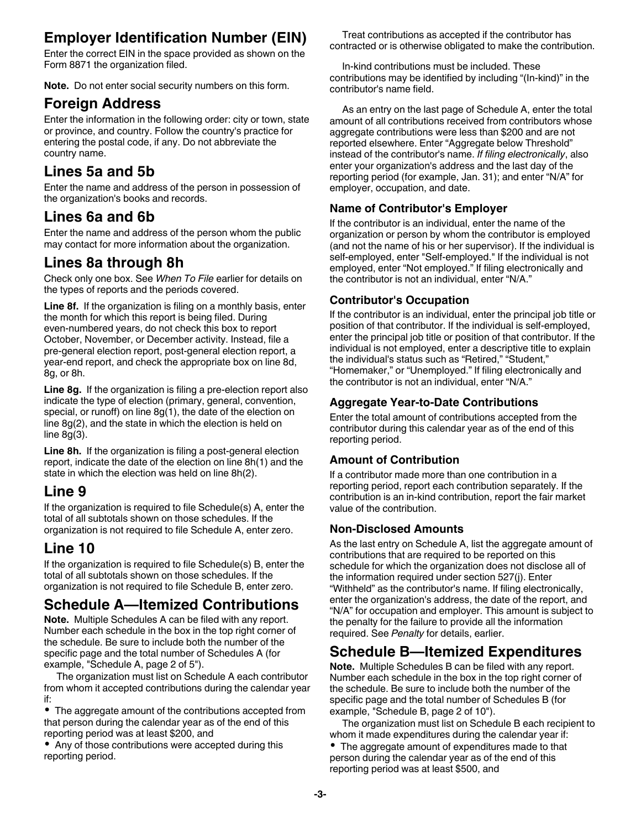## **Employer Identification Number (EIN)**

Enter the correct EIN in the space provided as shown on the Form 8871 the organization filed.

**Note.** Do not enter social security numbers on this form.

#### **Foreign Address**

Enter the information in the following order: city or town, state or province, and country. Follow the country's practice for entering the postal code, if any. Do not abbreviate the country name.

## **Lines 5a and 5b**

Enter the name and address of the person in possession of the organization's books and records.

## **Lines 6a and 6b**

Enter the name and address of the person whom the public may contact for more information about the organization.

## **Lines 8a through 8h**

Check only one box. See *When To File* earlier for details on the types of reports and the periods covered.

**Line 8f.** If the organization is filing on a monthly basis, enter the month for which this report is being filed. During even-numbered years, do not check this box to report October, November, or December activity. Instead, file a pre-general election report, post-general election report, a year-end report, and check the appropriate box on line 8d, 8g, or 8h.

**Line 8g.** If the organization is filing a pre-election report also indicate the type of election (primary, general, convention, special, or runoff) on line 8g(1), the date of the election on line 8g(2), and the state in which the election is held on line  $8g(3)$ .

**Line 8h.** If the organization is filing a post-general election report, indicate the date of the election on line 8h(1) and the state in which the election was held on line 8h(2).

## **Line 9**

If the organization is required to file Schedule(s) A, enter the total of all subtotals shown on those schedules. If the organization is not required to file Schedule A, enter zero.

## **Line 10**

If the organization is required to file Schedule(s) B, enter the total of all subtotals shown on those schedules. If the organization is not required to file Schedule B, enter zero.

## **Schedule A—Itemized Contributions**

**Note.** Multiple Schedules A can be filed with any report. Number each schedule in the box in the top right corner of the schedule. Be sure to include both the number of the specific page and the total number of Schedules A (for example, "Schedule A, page 2 of 5").

The organization must list on Schedule A each contributor from whom it accepted contributions during the calendar year if:

The aggregate amount of the contributions accepted from that person during the calendar year as of the end of this reporting period was at least \$200, and

Any of those contributions were accepted during this reporting period.

Treat contributions as accepted if the contributor has contracted or is otherwise obligated to make the contribution.

In-kind contributions must be included. These contributions may be identified by including "(In-kind)" in the contributor's name field.

As an entry on the last page of Schedule A, enter the total amount of all contributions received from contributors whose aggregate contributions were less than \$200 and are not reported elsewhere. Enter "Aggregate below Threshold" instead of the contributor's name. *If filing electronically*, also enter your organization's address and the last day of the reporting period (for example, Jan. 31); and enter "N/A" for employer, occupation, and date.

#### **Name of Contributor's Employer**

If the contributor is an individual, enter the name of the organization or person by whom the contributor is employed (and not the name of his or her supervisor). If the individual is self-employed, enter "Self-employed." If the individual is not employed, enter "Not employed." If filing electronically and the contributor is not an individual, enter "N/A."

#### **Contributor's Occupation**

If the contributor is an individual, enter the principal job title or position of that contributor. If the individual is self-employed, enter the principal job title or position of that contributor. If the individual is not employed, enter a descriptive title to explain the individual's status such as "Retired," "Student," "Homemaker," or "Unemployed." If filing electronically and the contributor is not an individual, enter "N/A."

#### **Aggregate Year-to-Date Contributions**

Enter the total amount of contributions accepted from the contributor during this calendar year as of the end of this reporting period.

#### **Amount of Contribution**

If a contributor made more than one contribution in a reporting period, report each contribution separately. If the contribution is an in-kind contribution, report the fair market value of the contribution.

#### **Non-Disclosed Amounts**

As the last entry on Schedule A, list the aggregate amount of contributions that are required to be reported on this schedule for which the organization does not disclose all of the information required under section 527(j). Enter "Withheld" as the contributor's name. If filing electronically, enter the organization's address, the date of the report, and "N/A" for occupation and employer. This amount is subject to the penalty for the failure to provide all the information required. See *Penalty* for details, earlier.

## **Schedule B—Itemized Expenditures**

**Note.** Multiple Schedules B can be filed with any report. Number each schedule in the box in the top right corner of the schedule. Be sure to include both the number of the specific page and the total number of Schedules B (for example, "Schedule B, page 2 of 10").

The organization must list on Schedule B each recipient to whom it made expenditures during the calendar year if:

The aggregate amount of expenditures made to that person during the calendar year as of the end of this reporting period was at least \$500, and